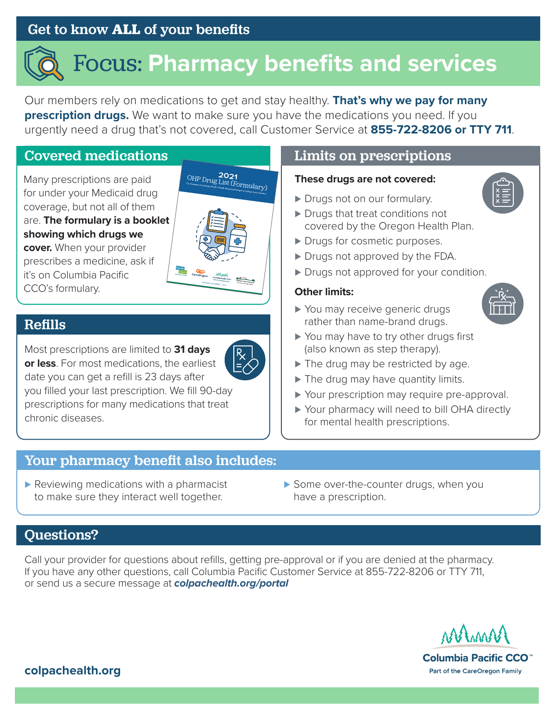## Get to know **ALL** of your benefits

# Focus: **Pharmacy benefits and services**

Our members rely on medications to get and stay healthy. **That's why we pay for many prescription drugs.** We want to make sure you have the medications you need. If you urgently need a drug that's not covered, call Customer Service at **855-722-8206 or TTY 711**.

#### Covered medications

Many prescriptions are paid for under your Medicaid drug coverage, but not all of them are. **The formulary is a booklet showing which drugs we cover.** When your provider prescribes a medicine, ask if it's on Columbia Pacific CCO's formulary.



#### Refills

Most prescriptions are limited to **31 days or less**. For most medications, the earliest date you can get a refill is 23 days after you filled your last prescription. We fill 90-day prescriptions for many medications that treat chronic diseases.

### Limits on prescriptions

#### **These drugs are not covered:**

- ► Drugs not on our formulary.
- ► Drugs that treat conditions not covered by the Oregon Health Plan.
- ► Drugs for cosmetic purposes.
- ► Drugs not approved by the FDA.
- ► Drugs not approved for your condition.

#### **Other limits:**



- ► You may receive generic drugs rather than name-brand drugs.
- ► You may have to try other drugs first (also known as step therapy).
- ► The drug may be restricted by age.
- ▶ The drug may have quantity limits.
- ► Your prescription may require pre-approval.
- ► Your pharmacy will need to bill OHA directly for mental health prescriptions.

#### Your pharmacy benefit also includes:

- ▶ Reviewing medications with a pharmacist to make sure they interact well together.
- ▶ Some over-the-counter drugs, when you have a prescription.

## Questions?

Call your provider for questions about refills, getting pre-approval or if you are denied at the pharmacy. If you have any other questions, call Columbia Pacific Customer Service at 855-722-8206 or TTY 711, or send us a secure message at *[colpachealth.org/portal](http://colpachealth.org/portal)*



Columbia Pacific CCO<sup>™</sup> Part of the CareOregon Family

#### **colpachealt[h.org](http://colpachealth.org)**